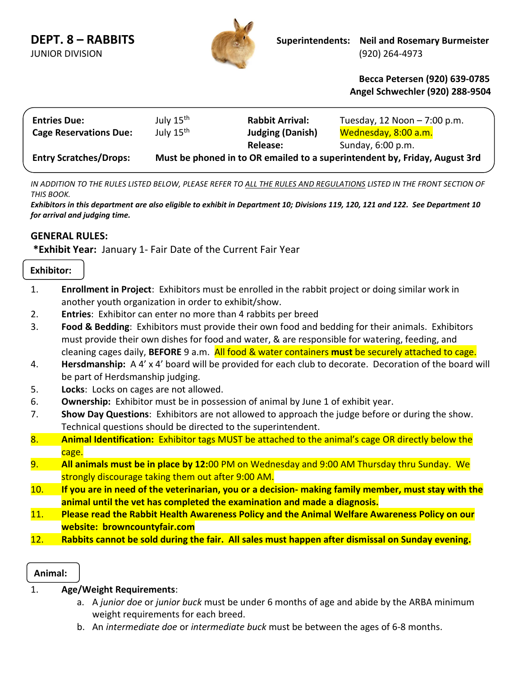

l

 **Becca Petersen (920) 639-0785 Angel Schwechler (920) 288-9504**

| <b>Entries Due:</b>           | July 15 <sup>th</sup>                                                      | <b>Rabbit Arrival:</b>  | Tuesday, 12 Noon $-7:00$ p.m. |  |  |
|-------------------------------|----------------------------------------------------------------------------|-------------------------|-------------------------------|--|--|
| <b>Cage Reservations Due:</b> | July 15 <sup>th</sup>                                                      | <b>Judging (Danish)</b> | Wednesday, 8:00 a.m.          |  |  |
|                               |                                                                            | <b>Release:</b>         | Sunday, 6:00 p.m.             |  |  |
| <b>Entry Scratches/Drops:</b> | Must be phoned in to OR emailed to a superintendent by, Friday, August 3rd |                         |                               |  |  |

*IN ADDITION TO THE RULES LISTED BELOW, PLEASE REFER TO ALL THE RULES AND REGULATIONS LISTED IN THE FRONT SECTION OF THIS BOOK.*

*Exhibitors in this department are also eligible to exhibit in Department 10; Divisions 119, 120, 121 and 122. See Department 10 for arrival and judging time.*

## **GENERAL RULES:**

**\*Exhibit Year:** January 1- Fair Date of the Current Fair Year

## **Exhibitor:**

- 1. **Enrollment in Project**: Exhibitors must be enrolled in the rabbit project or doing similar work in another youth organization in order to exhibit/show.
- 2. **Entries**: Exhibitor can enter no more than 4 rabbits per breed
- 3. **Food & Bedding**: Exhibitors must provide their own food and bedding for their animals. Exhibitors must provide their own dishes for food and water, & are responsible for watering, feeding, and cleaning cages daily, **BEFORE** 9 a.m. All food & water containers **must** be securely attached to cage.
- 4. **Hersdmanship:** A 4' x 4' board will be provided for each club to decorate. Decoration of the board will be part of Herdsmanship judging.
- 5. **Locks**:Locks on cages are not allowed.
- 6. **Ownership:** Exhibitor must be in possession of animal by June 1 of exhibit year.
- 7. **Show Day Questions**: Exhibitors are not allowed to approach the judge before or during the show. Technical questions should be directed to the superintendent.
- 8. **Animal Identification:** Exhibitor tags MUST be attached to the animal's cage OR directly below the cage.
- 9. **All animals must be in place by 12:**00 PM on Wednesday and 9:00 AM Thursday thru Sunday. We strongly discourage taking them out after 9:00 AM.
- 10. **If you are in need of the veterinarian, you or a decision- making family member, must stay with the animal until the vet has completed the examination and made a diagnosis.**
- 11. **Please read the Rabbit Health Awareness Policy and the Animal Welfare Awareness Policy on our website: browncountyfair.com**
- 12. **Rabbits cannot be sold during the fair. All sales must happen after dismissal on Sunday evening.**

**Animal:**

- 1. **Age/Weight Requirements**:
	- a. A *junior doe* or *junior buck* must be under 6 months of age and abide by the ARBA minimum weight requirements for each breed.
	- b. An *intermediate doe* or *intermediate buck* must be between the ages of 6-8 months.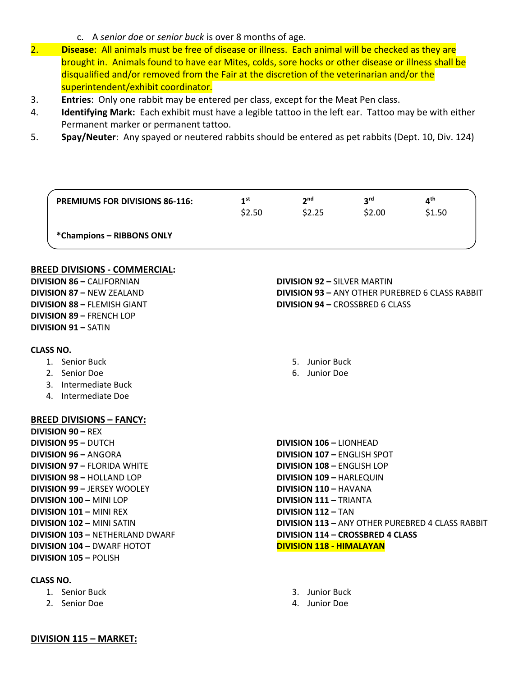- c. A *senior doe* or *senior buck* is over 8 months of age.
- 2. **Disease**: All animals must be free of disease or illness. Each animal will be checked as they are brought in. Animals found to have ear Mites, colds, sore hocks or other disease or illness shall be disqualified and/or removed from the Fair at the discretion of the veterinarian and/or the superintendent/exhibit coordinator.
- 3. **Entries**: Only one rabbit may be entered per class, except for the Meat Pen class.
- 4. **Identifying Mark:** Each exhibit must have a legible tattoo in the left ear. Tattoo may be with either Permanent marker or permanent tattoo.
- 5. **Spay/Neuter**: Any spayed or neutered rabbits should be entered as pet rabbits (Dept. 10, Div. 124)

| <b>PREMIUMS FOR DIVISIONS 86-116:</b>  | 1 <sup>st</sup><br>\$2.50 | 2 <sup>nd</sup><br>\$2.25               | 3 <sup>rd</sup><br>\$2.00 | 4 <sup>th</sup><br>\$1.50                               |
|----------------------------------------|---------------------------|-----------------------------------------|---------------------------|---------------------------------------------------------|
| *Champions - RIBBONS ONLY              |                           |                                         |                           |                                                         |
| <b>BREED DIVISIONS - COMMERCIAL:</b>   |                           |                                         |                           |                                                         |
| <b>DIVISION 86 - CALIFORNIAN</b>       |                           | <b>DIVISION 92 - SILVER MARTIN</b>      |                           |                                                         |
| <b>DIVISION 87 - NEW ZEALAND</b>       |                           |                                         |                           | <b>DIVISION 93 - ANY OTHER PUREBRED 6 CLASS RABBIT</b>  |
| <b>DIVISION 88 - FLEMISH GIANT</b>     |                           | <b>DIVISION 94 - CROSSBRED 6 CLASS</b>  |                           |                                                         |
| <b>DIVISION 89 - FRENCH LOP</b>        |                           |                                         |                           |                                                         |
| <b>DIVISION 91 - SATIN</b>             |                           |                                         |                           |                                                         |
| <b>CLASS NO.</b>                       |                           |                                         |                           |                                                         |
| 1. Senior Buck                         |                           | 5. Junior Buck                          |                           |                                                         |
| 2. Senior Doe                          |                           | 6. Junior Doe                           |                           |                                                         |
| 3. Intermediate Buck                   |                           |                                         |                           |                                                         |
| 4. Intermediate Doe                    |                           |                                         |                           |                                                         |
| <b>BREED DIVISIONS - FANCY:</b>        |                           |                                         |                           |                                                         |
| <b>DIVISION 90 - REX</b>               |                           |                                         |                           |                                                         |
| <b>DIVISION 95 - DUTCH</b>             |                           | <b>DIVISION 106 - LIONHEAD</b>          |                           |                                                         |
| <b>DIVISION 96 - ANGORA</b>            |                           | <b>DIVISION 107 - ENGLISH SPOT</b>      |                           |                                                         |
| <b>DIVISION 97 - FLORIDA WHITE</b>     |                           | <b>DIVISION 108 - ENGLISH LOP</b>       |                           |                                                         |
| <b>DIVISION 98 - HOLLAND LOP</b>       |                           | <b>DIVISION 109 - HARLEQUIN</b>         |                           |                                                         |
| <b>DIVISION 99 - JERSEY WOOLEY</b>     |                           | <b>DIVISION 110 - HAVANA</b>            |                           |                                                         |
| <b>DIVISION 100 - MINI LOP</b>         |                           | <b>DIVISION 111 - TRIANTA</b>           |                           |                                                         |
| DIVISION 101 - MINI REX                |                           | <b>DIVISION 112 - TAN</b>               |                           |                                                         |
| <b>DIVISION 102 - MINI SATIN</b>       |                           |                                         |                           | <b>DIVISION 113 - ANY OTHER PUREBRED 4 CLASS RABBIT</b> |
| <b>DIVISION 103 - NETHERLAND DWARF</b> |                           | <b>DIVISION 114 - CROSSBRED 4 CLASS</b> |                           |                                                         |
| <b>DIVISION 104 - DWARF HOTOT</b>      |                           | <b>DIVISION 118 - HIMALAYAN</b>         |                           |                                                         |
| <b>DIVISION 105 - POLISH</b>           |                           |                                         |                           |                                                         |
| <b>CLASS NO.</b>                       |                           |                                         |                           |                                                         |
| 1. Senior Buck                         |                           | 3. Junior Buck                          |                           |                                                         |

4. Junior Doe

- 1. Senior Buck
- 2. Senior Doe

**DIVISION 115 – MARKET:**